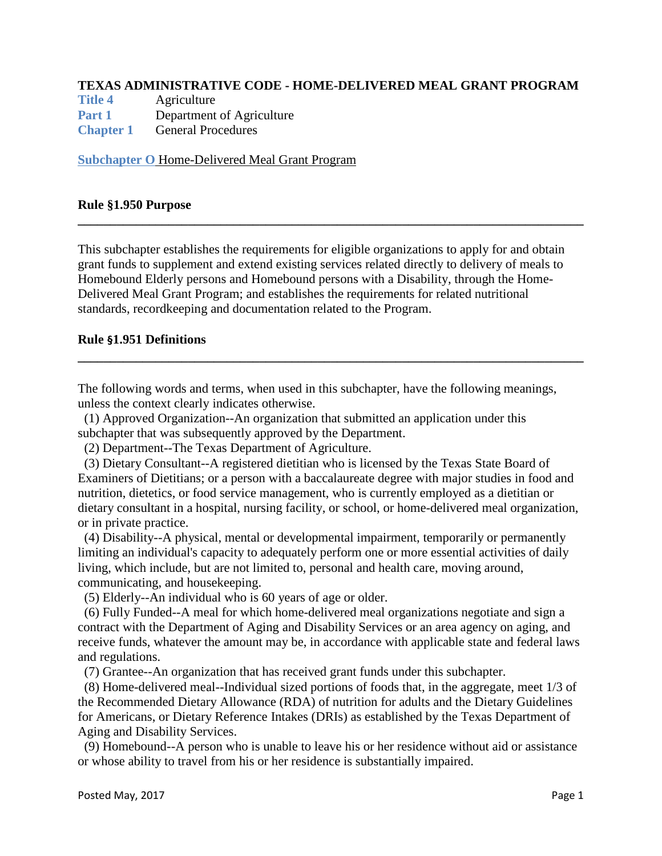### **TEXAS ADMINISTRATIVE CODE - HOME-DELIVERED MEAL GRANT PROGRAM**

**[Title 4](http://texreg.sos.state.tx.us/public/readtac$ext.ViewTAC?tac_view=2&ti=4)** Agriculture **[Part 1](http://texreg.sos.state.tx.us/public/readtac$ext.ViewTAC?tac_view=3&ti=4&pt=1)** Department of Agriculture **[Chapter 1](http://texreg.sos.state.tx.us/public/readtac$ext.ViewTAC?tac_view=4&ti=4&pt=1&ch=1)** General Procedures

**[Subchapter O](http://texreg.sos.state.tx.us/public/readtac$ext.ViewTAC?tac_view=5&ti=4&pt=1&ch=1&sch=O&rl=Y)** Home-Delivered Meal Grant Program

#### **Rule §1.950 Purpose**

This subchapter establishes the requirements for eligible organizations to apply for and obtain grant funds to supplement and extend existing services related directly to delivery of meals to Homebound Elderly persons and Homebound persons with a Disability, through the Home-Delivered Meal Grant Program; and establishes the requirements for related nutritional standards, recordkeeping and documentation related to the Program.

**\_\_\_\_\_\_\_\_\_\_\_\_\_\_\_\_\_\_\_\_\_\_\_\_\_\_\_\_\_\_\_\_\_\_\_\_\_\_\_\_\_\_\_\_\_\_\_\_\_\_\_\_\_\_\_\_\_\_\_\_\_\_\_\_\_\_\_\_\_\_\_\_\_\_\_\_\_\_**

### **Rule §1.951 Definitions**

The following words and terms, when used in this subchapter, have the following meanings, unless the context clearly indicates otherwise.

**\_\_\_\_\_\_\_\_\_\_\_\_\_\_\_\_\_\_\_\_\_\_\_\_\_\_\_\_\_\_\_\_\_\_\_\_\_\_\_\_\_\_\_\_\_\_\_\_\_\_\_\_\_\_\_\_\_\_\_\_\_\_\_\_\_\_\_\_\_\_\_\_\_\_\_\_\_\_**

 (1) Approved Organization--An organization that submitted an application under this subchapter that was subsequently approved by the Department.

(2) Department--The Texas Department of Agriculture.

 (3) Dietary Consultant--A registered dietitian who is licensed by the Texas State Board of Examiners of Dietitians; or a person with a baccalaureate degree with major studies in food and nutrition, dietetics, or food service management, who is currently employed as a dietitian or dietary consultant in a hospital, nursing facility, or school, or home-delivered meal organization, or in private practice.

 (4) Disability--A physical, mental or developmental impairment, temporarily or permanently limiting an individual's capacity to adequately perform one or more essential activities of daily living, which include, but are not limited to, personal and health care, moving around, communicating, and housekeeping.

(5) Elderly--An individual who is 60 years of age or older.

 (6) Fully Funded--A meal for which home-delivered meal organizations negotiate and sign a contract with the Department of Aging and Disability Services or an area agency on aging, and receive funds, whatever the amount may be, in accordance with applicable state and federal laws and regulations.

(7) Grantee--An organization that has received grant funds under this subchapter.

 (8) Home-delivered meal--Individual sized portions of foods that, in the aggregate, meet 1/3 of the Recommended Dietary Allowance (RDA) of nutrition for adults and the Dietary Guidelines for Americans, or Dietary Reference Intakes (DRIs) as established by the Texas Department of Aging and Disability Services.

 (9) Homebound--A person who is unable to leave his or her residence without aid or assistance or whose ability to travel from his or her residence is substantially impaired.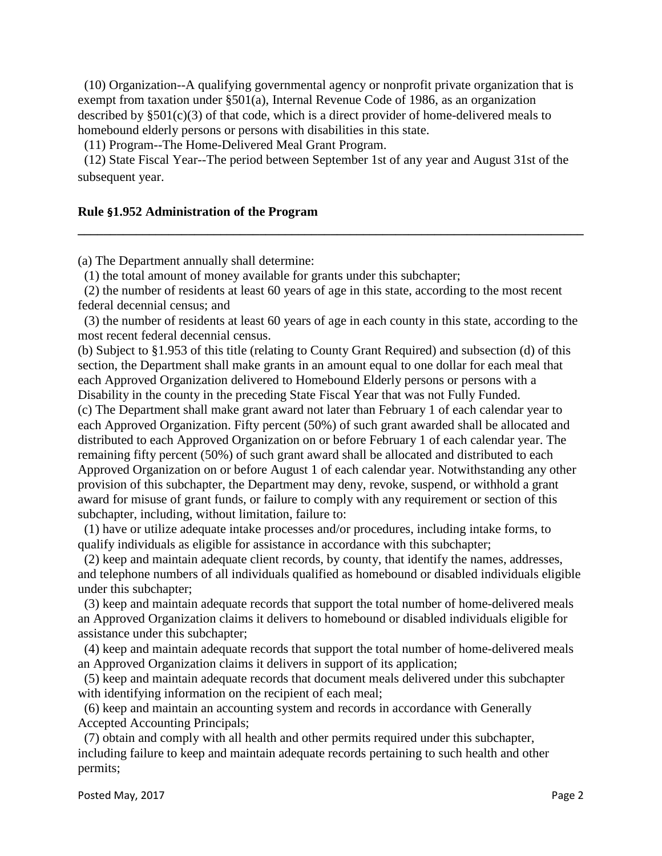(10) Organization--A qualifying governmental agency or nonprofit private organization that is exempt from taxation under §501(a), Internal Revenue Code of 1986, as an organization described by  $\S 501(c)(3)$  of that code, which is a direct provider of home-delivered meals to homebound elderly persons or persons with disabilities in this state.

(11) Program--The Home-Delivered Meal Grant Program.

 (12) State Fiscal Year--The period between September 1st of any year and August 31st of the subsequent year.

**\_\_\_\_\_\_\_\_\_\_\_\_\_\_\_\_\_\_\_\_\_\_\_\_\_\_\_\_\_\_\_\_\_\_\_\_\_\_\_\_\_\_\_\_\_\_\_\_\_\_\_\_\_\_\_\_\_\_\_\_\_\_\_\_\_\_\_\_\_\_\_\_\_\_\_\_\_\_**

### **Rule §1.952 Administration of the Program**

(a) The Department annually shall determine:

(1) the total amount of money available for grants under this subchapter;

 (2) the number of residents at least 60 years of age in this state, according to the most recent federal decennial census; and

 (3) the number of residents at least 60 years of age in each county in this state, according to the most recent federal decennial census.

(b) Subject to §1.953 of this title (relating to County Grant Required) and subsection (d) of this section, the Department shall make grants in an amount equal to one dollar for each meal that each Approved Organization delivered to Homebound Elderly persons or persons with a Disability in the county in the preceding State Fiscal Year that was not Fully Funded.

(c) The Department shall make grant award not later than February 1 of each calendar year to each Approved Organization. Fifty percent (50%) of such grant awarded shall be allocated and distributed to each Approved Organization on or before February 1 of each calendar year. The remaining fifty percent (50%) of such grant award shall be allocated and distributed to each Approved Organization on or before August 1 of each calendar year. Notwithstanding any other provision of this subchapter, the Department may deny, revoke, suspend, or withhold a grant award for misuse of grant funds, or failure to comply with any requirement or section of this subchapter, including, without limitation, failure to:

 (1) have or utilize adequate intake processes and/or procedures, including intake forms, to qualify individuals as eligible for assistance in accordance with this subchapter;

 (2) keep and maintain adequate client records, by county, that identify the names, addresses, and telephone numbers of all individuals qualified as homebound or disabled individuals eligible under this subchapter;

 (3) keep and maintain adequate records that support the total number of home-delivered meals an Approved Organization claims it delivers to homebound or disabled individuals eligible for assistance under this subchapter;

 (4) keep and maintain adequate records that support the total number of home-delivered meals an Approved Organization claims it delivers in support of its application;

 (5) keep and maintain adequate records that document meals delivered under this subchapter with identifying information on the recipient of each meal;

 (6) keep and maintain an accounting system and records in accordance with Generally Accepted Accounting Principals;

 (7) obtain and comply with all health and other permits required under this subchapter, including failure to keep and maintain adequate records pertaining to such health and other permits;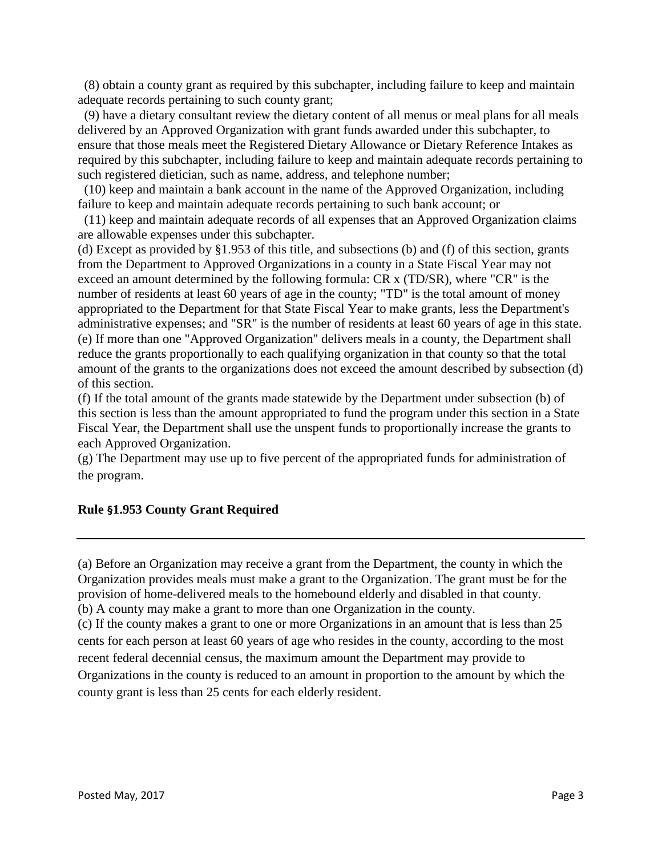(8) obtain a county grant as required by this subchapter, including failure to keep and maintain adequate records pertaining to such county grant;

 (9) have a dietary consultant review the dietary content of all menus or meal plans for all meals delivered by an Approved Organization with grant funds awarded under this subchapter, to ensure that those meals meet the Registered Dietary Allowance or Dietary Reference Intakes as required by this subchapter, including failure to keep and maintain adequate records pertaining to such registered dietician, such as name, address, and telephone number;

 (10) keep and maintain a bank account in the name of the Approved Organization, including failure to keep and maintain adequate records pertaining to such bank account; or

 (11) keep and maintain adequate records of all expenses that an Approved Organization claims are allowable expenses under this subchapter.

(d) Except as provided by §1.953 of this title, and subsections (b) and (f) of this section, grants from the Department to Approved Organizations in a county in a State Fiscal Year may not exceed an amount determined by the following formula: CR x (TD/SR), where "CR" is the number of residents at least 60 years of age in the county; "TD" is the total amount of money appropriated to the Department for that State Fiscal Year to make grants, less the Department's administrative expenses; and "SR" is the number of residents at least 60 years of age in this state. (e) If more than one "Approved Organization" delivers meals in a county, the Department shall reduce the grants proportionally to each qualifying organization in that county so that the total amount of the grants to the organizations does not exceed the amount described by subsection (d) of this section.

(f) If the total amount of the grants made statewide by the Department under subsection (b) of this section is less than the amount appropriated to fund the program under this section in a State Fiscal Year, the Department shall use the unspent funds to proportionally increase the grants to each Approved Organization.

(g) The Department may use up to five percent of the appropriated funds for administration of the program.

### **Rule §1.953 County Grant Required**

(a) Before an Organization may receive a grant from the Department, the county in which the Organization provides meals must make a grant to the Organization. The grant must be for the provision of home-delivered meals to the homebound elderly and disabled in that county. (b) A county may make a grant to more than one Organization in the county.

(c) If the county makes a grant to one or more Organizations in an amount that is less than 25 cents for each person at least 60 years of age who resides in the county, according to the most recent federal decennial census, the maximum amount the Department may provide to Organizations in the county is reduced to an amount in proportion to the amount by which the county grant is less than 25 cents for each elderly resident.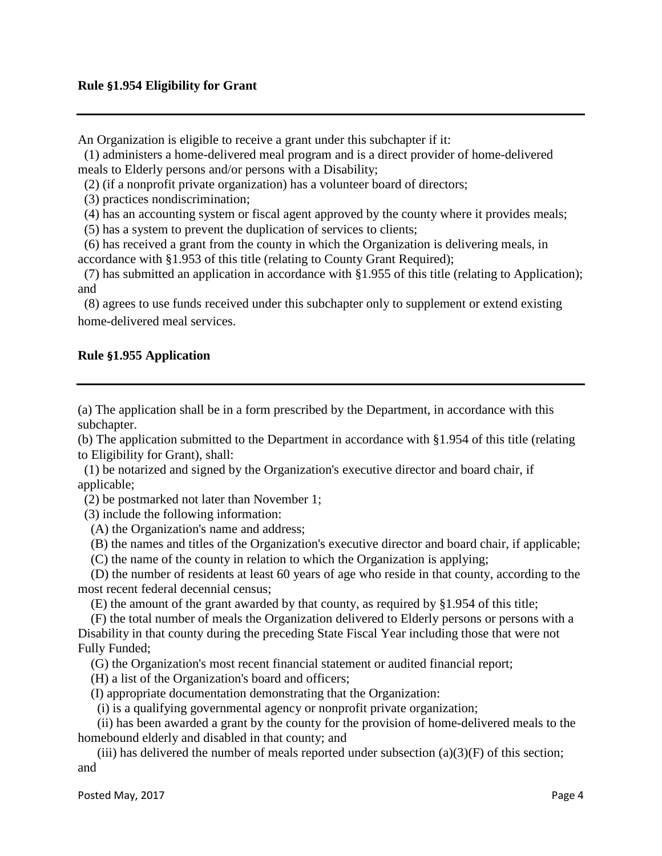An Organization is eligible to receive a grant under this subchapter if it:

 (1) administers a home-delivered meal program and is a direct provider of home-delivered meals to Elderly persons and/or persons with a Disability;

(2) (if a nonprofit private organization) has a volunteer board of directors;

(3) practices nondiscrimination;

(4) has an accounting system or fiscal agent approved by the county where it provides meals;

(5) has a system to prevent the duplication of services to clients;

 (6) has received a grant from the county in which the Organization is delivering meals, in accordance with §1.953 of this title (relating to County Grant Required);

 (7) has submitted an application in accordance with §1.955 of this title (relating to Application); and

 (8) agrees to use funds received under this subchapter only to supplement or extend existing home-delivered meal services.

# **Rule §1.955 Application**

(a) The application shall be in a form prescribed by the Department, in accordance with this subchapter.

(b) The application submitted to the Department in accordance with §1.954 of this title (relating to Eligibility for Grant), shall:

 (1) be notarized and signed by the Organization's executive director and board chair, if applicable;

(2) be postmarked not later than November 1;

(3) include the following information:

(A) the Organization's name and address;

(B) the names and titles of the Organization's executive director and board chair, if applicable;

(C) the name of the county in relation to which the Organization is applying;

 (D) the number of residents at least 60 years of age who reside in that county, according to the most recent federal decennial census;

(E) the amount of the grant awarded by that county, as required by §1.954 of this title;

 (F) the total number of meals the Organization delivered to Elderly persons or persons with a Disability in that county during the preceding State Fiscal Year including those that were not Fully Funded;

(G) the Organization's most recent financial statement or audited financial report;

(H) a list of the Organization's board and officers;

(I) appropriate documentation demonstrating that the Organization:

(i) is a qualifying governmental agency or nonprofit private organization;

 (ii) has been awarded a grant by the county for the provision of home-delivered meals to the homebound elderly and disabled in that county; and

(iii) has delivered the number of meals reported under subsection  $(a)(3)(F)$  of this section; and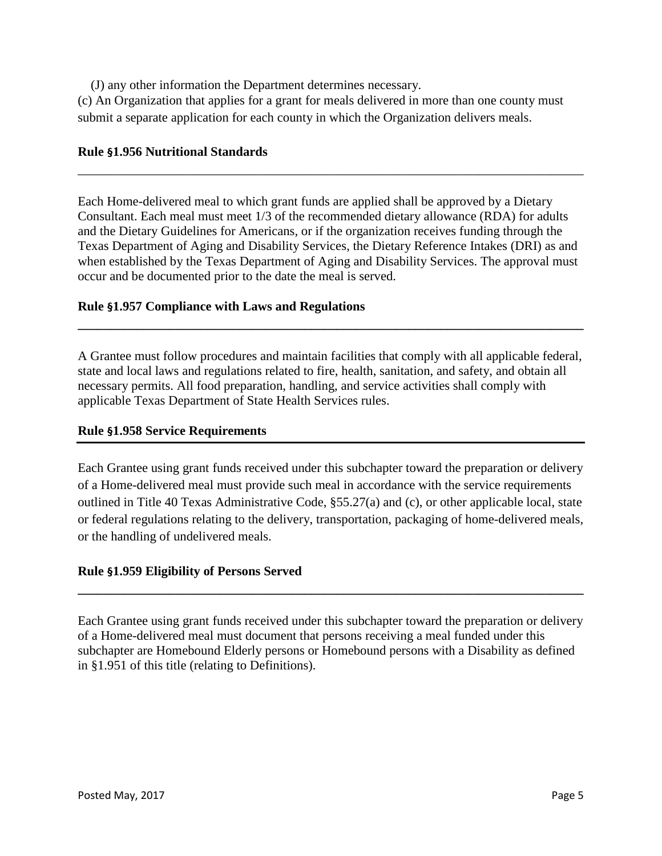(J) any other information the Department determines necessary.

(c) An Organization that applies for a grant for meals delivered in more than one county must submit a separate application for each county in which the Organization delivers meals.

### **Rule §1.956 Nutritional Standards**

Each Home-delivered meal to which grant funds are applied shall be approved by a Dietary Consultant. Each meal must meet 1/3 of the recommended dietary allowance (RDA) for adults and the Dietary Guidelines for Americans, or if the organization receives funding through the Texas Department of Aging and Disability Services, the Dietary Reference Intakes (DRI) as and when established by the Texas Department of Aging and Disability Services. The approval must occur and be documented prior to the date the meal is served.

\_\_\_\_\_\_\_\_\_\_\_\_\_\_\_\_\_\_\_\_\_\_\_\_\_\_\_\_\_\_\_\_\_\_\_\_\_\_\_\_\_\_\_\_\_\_\_\_\_\_\_\_\_\_\_\_\_\_\_\_\_\_\_\_\_\_\_\_\_\_\_\_\_\_\_\_\_\_

## **Rule §1.957 Compliance with Laws and Regulations**

A Grantee must follow procedures and maintain facilities that comply with all applicable federal, state and local laws and regulations related to fire, health, sanitation, and safety, and obtain all necessary permits. All food preparation, handling, and service activities shall comply with applicable Texas Department of State Health Services rules.

**\_\_\_\_\_\_\_\_\_\_\_\_\_\_\_\_\_\_\_\_\_\_\_\_\_\_\_\_\_\_\_\_\_\_\_\_\_\_\_\_\_\_\_\_\_\_\_\_\_\_\_\_\_\_\_\_\_\_\_\_\_\_\_\_\_\_\_\_\_\_\_\_\_\_\_\_\_\_**

### **Rule §1.958 Service Requirements**

Each Grantee using grant funds received under this subchapter toward the preparation or delivery of a Home-delivered meal must provide such meal in accordance with the service requirements outlined in Title 40 Texas Administrative Code, §55.27(a) and (c), or other applicable local, state or federal regulations relating to the delivery, transportation, packaging of home-delivered meals, or the handling of undelivered meals.

# **Rule §1.959 Eligibility of Persons Served**

Each Grantee using grant funds received under this subchapter toward the preparation or delivery of a Home-delivered meal must document that persons receiving a meal funded under this subchapter are Homebound Elderly persons or Homebound persons with a Disability as defined in §1.951 of this title (relating to Definitions).

**\_\_\_\_\_\_\_\_\_\_\_\_\_\_\_\_\_\_\_\_\_\_\_\_\_\_\_\_\_\_\_\_\_\_\_\_\_\_\_\_\_\_\_\_\_\_\_\_\_\_\_\_\_\_\_\_\_\_\_\_\_\_\_\_\_\_\_\_\_\_\_\_\_\_\_\_\_\_**